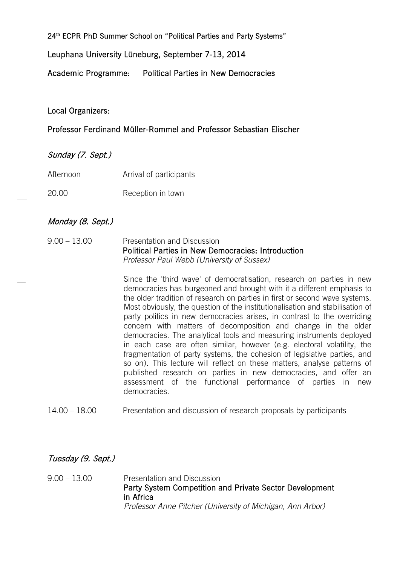24<sup>th</sup> ECPR PhD Summer School on "Political Parties and Party Systems"

Leuphana University Lüneburg, September 7-13, 2014

Academic Programme: Political Parties in New Democracies

Local Organizers:

Professor Ferdinand Müller-Rommel and Professor Sebastian Elischer

Sunday (7. Sept.)

- Afternoon Arrival of participants
- 20.00 Reception in town

## Monday (8. Sept.)

9.00 – 13.00 Presentation and Discussion Political Parties in New Democracies: Introduction *Professor Paul Webb (University of Sussex)*

> Since the 'third wave' of democratisation, research on parties in new democracies has burgeoned and brought with it a different emphasis to the older tradition of research on parties in first or second wave systems. Most obviously, the question of the institutionalisation and stabilisation of party politics in new democracies arises, in contrast to the overriding concern with matters of decomposition and change in the older democracies. The analytical tools and measuring instruments deployed in each case are often similar, however (e.g. electoral volatility, the fragmentation of party systems, the cohesion of legislative parties, and so on). This lecture will reflect on these matters, analyse patterns of published research on parties in new democracies, and offer an assessment of the functional performance of parties in new democracies.

14.00 – 18.00 Presentation and discussion of research proposals by participants

## Tuesday (9. Sept.)

9.00 – 13.00 Presentation and Discussion Party System Competition and Private Sector Development in Africa *Professor Anne Pitcher (University of Michigan, Ann Arbor)*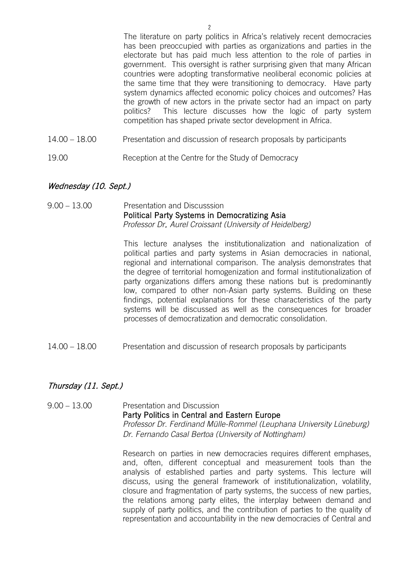The literature on party politics in Africa's relatively recent democracies has been preoccupied with parties as organizations and parties in the electorate but has paid much less attention to the role of parties in government. This oversight is rather surprising given that many African countries were adopting transformative neoliberal economic policies at the same time that they were transitioning to democracy. Have party system dynamics affected economic policy choices and outcomes? Has the growth of new actors in the private sector had an impact on party politics? This lecture discusses how the logic of party system competition has shaped private sector development in Africa.

- 14.00 18.00 Presentation and discussion of research proposals by participants
- 19.00 Reception at the Centre for the Study of Democracy

### Wednesday (10. Sept.)

#### 9.00 – 13.00 Presentation and Discusssion Political Party Systems in Democratizing Asia *Professor Dr*. *Aurel Croissant (University of Heidelberg)*

This lecture analyses the institutionalization and nationalization of political parties and party systems in Asian democracies in national, regional and international comparison. The analysis demonstrates that the degree of territorial homogenization and formal institutionalization of party organizations differs among these nations but is predominantly low, compared to other non-Asian party systems. Building on these findings, potential explanations for these characteristics of the party systems will be discussed as well as the consequences for broader processes of democratization and democratic consolidation.

14.00 – 18.00 Presentation and discussion of research proposals by participants

## Thursday (11. Sept.)

### 9.00 – 13.00 Presentation and Discussion Party Politics in Central and Eastern Europe *Professor Dr. Ferdinand Mülle-Rommel (Leuphana University Lüneburg) Dr. Fernando Casal Bertoa (University of Nottingham)*

Research on parties in new democracies requires different emphases, and, often, different conceptual and measurement tools than the analysis of established parties and party systems. This lecture will discuss, using the general framework of institutionalization, volatility, closure and fragmentation of party systems, the success of new parties, the relations among party elites, the interplay between demand and supply of party politics, and the contribution of parties to the quality of representation and accountability in the new democracies of Central and